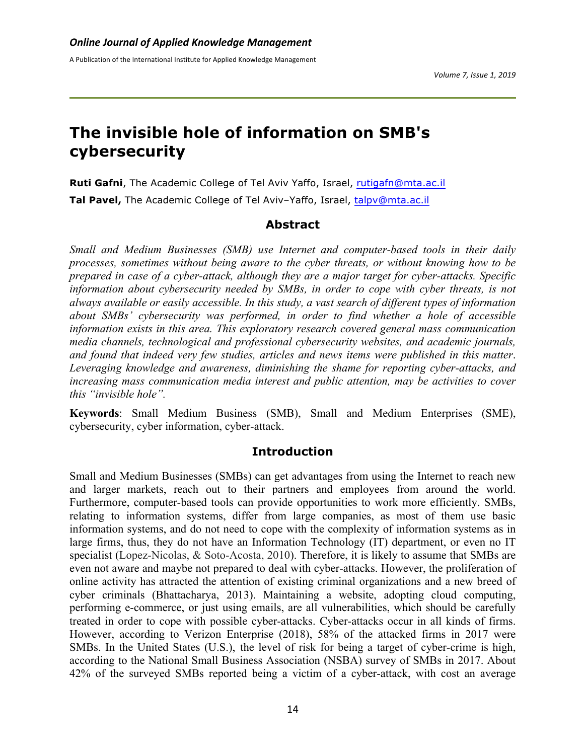# **The invisible hole of information on SMB's cybersecurity**

**Ruti Gafni**, The Academic College of Tel Aviv Yaffo, Israel, rutigafn@mta.ac.il **Tal Pavel,** The Academic College of Tel Aviv–Yaffo, Israel, talpv@mta.ac.il

## **Abstract**

*Small and Medium Businesses (SMB) use Internet and computer-based tools in their daily processes, sometimes without being aware to the cyber threats, or without knowing how to be prepared in case of a cyber-attack, although they are a major target for cyber-attacks. Specific information about cybersecurity needed by SMBs, in order to cope with cyber threats, is not always available or easily accessible. In this study, a vast search of different types of information about SMBs' cybersecurity was performed, in order to find whether a hole of accessible information exists in this area. This exploratory research covered general mass communication media channels, technological and professional cybersecurity websites, and academic journals, and found that indeed very few studies, articles and news items were published in this matter*. *Leveraging knowledge and awareness, diminishing the shame for reporting cyber-attacks, and increasing mass communication media interest and public attention, may be activities to cover this "invisible hole".*

**Keywords**: Small Medium Business (SMB), Small and Medium Enterprises (SME), cybersecurity, cyber information, cyber-attack.

### **Introduction**

Small and Medium Businesses (SMBs) can get advantages from using the Internet to reach new and larger markets, reach out to their partners and employees from around the world. Furthermore, computer-based tools can provide opportunities to work more efficiently. SMBs, relating to information systems, differ from large companies, as most of them use basic information systems, and do not need to cope with the complexity of information systems as in large firms, thus, they do not have an Information Technology (IT) department, or even no IT specialist (Lopez-Nicolas, & Soto-Acosta, 2010). Therefore, it is likely to assume that SMBs are even not aware and maybe not prepared to deal with cyber-attacks. However, the proliferation of online activity has attracted the attention of existing criminal organizations and a new breed of cyber criminals (Bhattacharya, 2013). Maintaining a website, adopting cloud computing, performing e-commerce, or just using emails, are all vulnerabilities, which should be carefully treated in order to cope with possible cyber-attacks. Cyber-attacks occur in all kinds of firms. However, according to Verizon Enterprise (2018), 58% of the attacked firms in 2017 were SMBs. In the United States (U.S.), the level of risk for being a target of cyber-crime is high, according to the National Small Business Association (NSBA) survey of SMBs in 2017. About 42% of the surveyed SMBs reported being a victim of a cyber-attack, with cost an average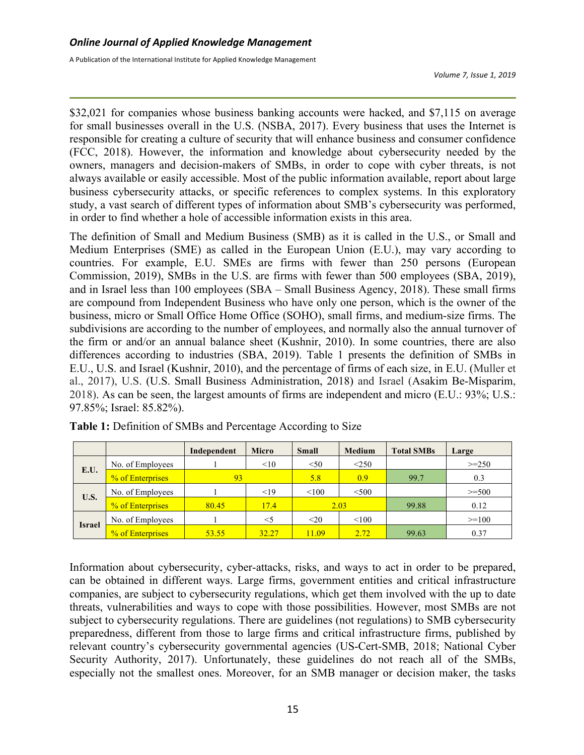*Volume 7, Issue 1, 2019*

\$32,021 for companies whose business banking accounts were hacked, and \$7,115 on average for small businesses overall in the U.S. (NSBA, 2017). Every business that uses the Internet is responsible for creating a culture of security that will enhance business and consumer confidence (FCC, 2018). However, the information and knowledge about cybersecurity needed by the owners, managers and decision-makers of SMBs, in order to cope with cyber threats, is not always available or easily accessible. Most of the public information available, report about large business cybersecurity attacks, or specific references to complex systems. In this exploratory study, a vast search of different types of information about SMB's cybersecurity was performed, in order to find whether a hole of accessible information exists in this area.

The definition of Small and Medium Business (SMB) as it is called in the U.S., or Small and Medium Enterprises (SME) as called in the European Union (E.U.), may vary according to countries. For example, E.U. SMEs are firms with fewer than 250 persons (European Commission, 2019), SMBs in the U.S. are firms with fewer than 500 employees (SBA, 2019), and in Israel less than 100 employees (SBA – Small Business Agency, 2018). These small firms are compound from Independent Business who have only one person, which is the owner of the business, micro or Small Office Home Office (SOHO), small firms, and medium-size firms. The subdivisions are according to the number of employees, and normally also the annual turnover of the firm or and/or an annual balance sheet (Kushnir, 2010). In some countries, there are also differences according to industries (SBA, 2019). Table 1 presents the definition of SMBs in E.U., U.S. and Israel (Kushnir, 2010), and the percentage of firms of each size, in E.U. (Muller et al., 2017), U.S. (U.S. Small Business Administration, 2018) and Israel (Asakim Be-Misparim, 2018). As can be seen, the largest amounts of firms are independent and micro (E.U.: 93%; U.S.: 97.85%; Israel: 85.82%).

|               |                  | Independent | <b>Micro</b> | <b>Small</b> | <b>Medium</b> | <b>Total SMBs</b> | Large    |
|---------------|------------------|-------------|--------------|--------------|---------------|-------------------|----------|
| E.U.          | No. of Employees |             | <10          | < 50         | $\leq$ 250    |                   | $>=250$  |
|               | % of Enterprises | 93          |              | 5.8          | 0.9           | 99.7              | 0.3      |
| U.S.          | No. of Employees |             | <19          | < 100        | $<$ 500       |                   | $>=$ 500 |
|               | % of Enterprises | 80.45       | 17.4         |              | 2.03          | 99.88             | 0.12     |
| <b>Israel</b> | No. of Employees |             | $<$ 5        | $20$         | < 100         |                   | $>=100$  |
|               | % of Enterprises | 53.55       | 32.27        | 11.09        | 2.72          | 99.63             | 0.37     |

**Table 1:** Definition of SMBs and Percentage According to Size

Information about cybersecurity, cyber-attacks, risks, and ways to act in order to be prepared, can be obtained in different ways. Large firms, government entities and critical infrastructure companies, are subject to cybersecurity regulations, which get them involved with the up to date threats, vulnerabilities and ways to cope with those possibilities. However, most SMBs are not subject to cybersecurity regulations. There are guidelines (not regulations) to SMB cybersecurity preparedness, different from those to large firms and critical infrastructure firms, published by relevant country's cybersecurity governmental agencies (US-Cert-SMB, 2018; National Cyber Security Authority, 2017). Unfortunately, these guidelines do not reach all of the SMBs, especially not the smallest ones. Moreover, for an SMB manager or decision maker, the tasks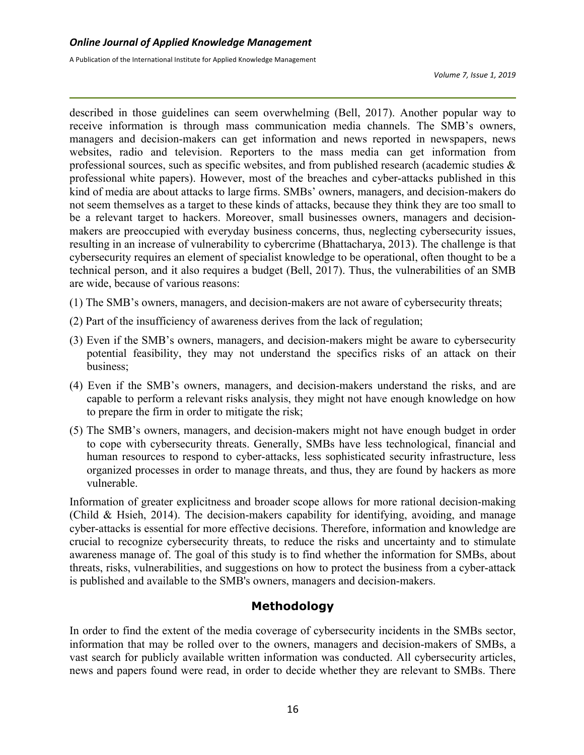*Volume 7, Issue 1, 2019*

described in those guidelines can seem overwhelming (Bell, 2017). Another popular way to receive information is through mass communication media channels. The SMB's owners, managers and decision-makers can get information and news reported in newspapers, news websites, radio and television. Reporters to the mass media can get information from professional sources, such as specific websites, and from published research (academic studies & professional white papers). However, most of the breaches and cyber-attacks published in this kind of media are about attacks to large firms. SMBs' owners, managers, and decision-makers do not seem themselves as a target to these kinds of attacks, because they think they are too small to be a relevant target to hackers. Moreover, small businesses owners, managers and decisionmakers are preoccupied with everyday business concerns, thus, neglecting cybersecurity issues, resulting in an increase of vulnerability to cybercrime (Bhattacharya, 2013). The challenge is that cybersecurity requires an element of specialist knowledge to be operational, often thought to be a technical person, and it also requires a budget (Bell, 2017). Thus, the vulnerabilities of an SMB are wide, because of various reasons:

- (1) The SMB's owners, managers, and decision-makers are not aware of cybersecurity threats;
- (2) Part of the insufficiency of awareness derives from the lack of regulation;
- (3) Even if the SMB's owners, managers, and decision-makers might be aware to cybersecurity potential feasibility, they may not understand the specifics risks of an attack on their business;
- (4) Even if the SMB's owners, managers, and decision-makers understand the risks, and are capable to perform a relevant risks analysis, they might not have enough knowledge on how to prepare the firm in order to mitigate the risk;
- (5) The SMB's owners, managers, and decision-makers might not have enough budget in order to cope with cybersecurity threats. Generally, SMBs have less technological, financial and human resources to respond to cyber-attacks, less sophisticated security infrastructure, less organized processes in order to manage threats, and thus, they are found by hackers as more vulnerable.

Information of greater explicitness and broader scope allows for more rational decision-making (Child & Hsieh, 2014). The decision-makers capability for identifying, avoiding, and manage cyber-attacks is essential for more effective decisions. Therefore, information and knowledge are crucial to recognize cybersecurity threats, to reduce the risks and uncertainty and to stimulate awareness manage of. The goal of this study is to find whether the information for SMBs, about threats, risks, vulnerabilities, and suggestions on how to protect the business from a cyber-attack is published and available to the SMB's owners, managers and decision-makers.

# **Methodology**

In order to find the extent of the media coverage of cybersecurity incidents in the SMBs sector, information that may be rolled over to the owners, managers and decision-makers of SMBs, a vast search for publicly available written information was conducted. All cybersecurity articles, news and papers found were read, in order to decide whether they are relevant to SMBs. There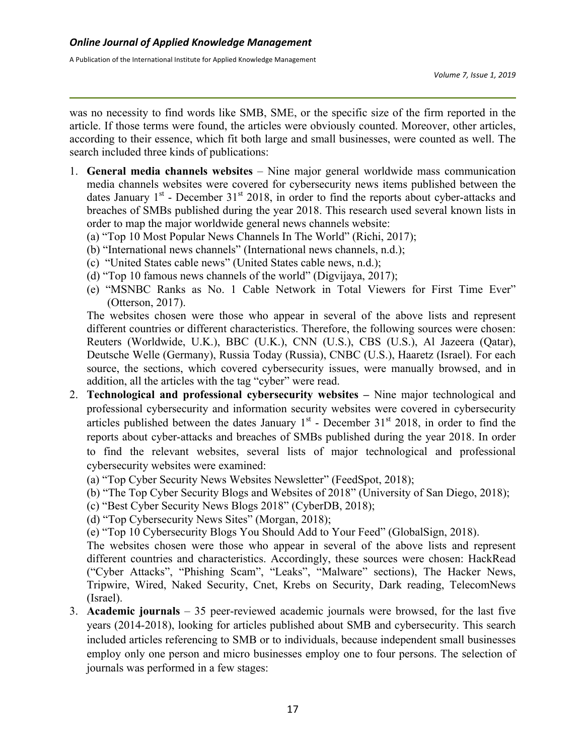was no necessity to find words like SMB, SME, or the specific size of the firm reported in the article. If those terms were found, the articles were obviously counted. Moreover, other articles, according to their essence, which fit both large and small businesses, were counted as well. The search included three kinds of publications:

- 1. **General media channels websites** Nine major general worldwide mass communication media channels websites were covered for cybersecurity news items published between the dates January  $1<sup>st</sup>$  - December 31<sup>st</sup> 2018, in order to find the reports about cyber-attacks and breaches of SMBs published during the year 2018. This research used several known lists in order to map the major worldwide general news channels website:
	- (a) "Top 10 Most Popular News Channels In The World" (Richi, 2017);
	- (b) "International news channels" (International news channels, n.d.);
	- (c) "United States cable news" (United States cable news, n.d.);
	- (d) "Top 10 famous news channels of the world" (Digvijaya, 2017);
	- (e) "MSNBC Ranks as No. 1 Cable Network in Total Viewers for First Time Ever" (Otterson, 2017).

The websites chosen were those who appear in several of the above lists and represent different countries or different characteristics. Therefore, the following sources were chosen: Reuters (Worldwide, U.K.), BBC (U.K.), CNN (U.S.), CBS (U.S.), Al Jazeera (Qatar), Deutsche Welle (Germany), Russia Today (Russia), CNBC (U.S.), Haaretz (Israel). For each source, the sections, which covered cybersecurity issues, were manually browsed, and in addition, all the articles with the tag "cyber" were read.

- 2. **Technological and professional cybersecurity websites –** Nine major technological and professional cybersecurity and information security websites were covered in cybersecurity articles published between the dates January  $1<sup>st</sup>$  - December 31 $<sup>st</sup>$  2018, in order to find the</sup> reports about cyber-attacks and breaches of SMBs published during the year 2018. In order to find the relevant websites, several lists of major technological and professional cybersecurity websites were examined:
	- (a) "Top Cyber Security News Websites Newsletter" (FeedSpot, 2018);
	- (b) "The Top Cyber Security Blogs and Websites of 2018" (University of San Diego, 2018);
	- (c) "Best Cyber Security News Blogs 2018" (CyberDB, 2018);
	- (d) "Top Cybersecurity News Sites" (Morgan, 2018);
	- (e) "Top 10 Cybersecurity Blogs You Should Add to Your Feed" (GlobalSign, 2018).

The websites chosen were those who appear in several of the above lists and represent different countries and characteristics. Accordingly, these sources were chosen: HackRead ("Cyber Attacks", "Phishing Scam", "Leaks", "Malware" sections), The Hacker News, Tripwire, Wired, Naked Security, Cnet, Krebs on Security, Dark reading, TelecomNews (Israel).

3. **Academic journals** – 35 peer-reviewed academic journals were browsed, for the last five years (2014-2018), looking for articles published about SMB and cybersecurity. This search included articles referencing to SMB or to individuals, because independent small businesses employ only one person and micro businesses employ one to four persons. The selection of journals was performed in a few stages: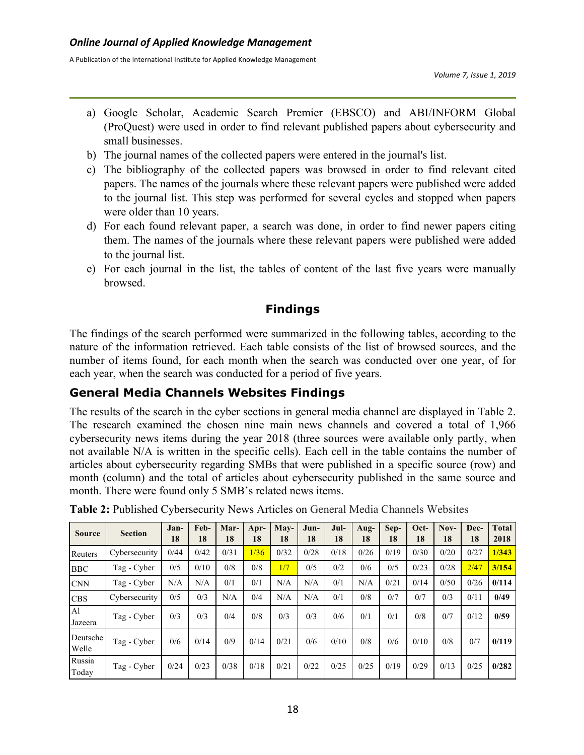- a) Google Scholar, Academic Search Premier (EBSCO) and ABI/INFORM Global (ProQuest) were used in order to find relevant published papers about cybersecurity and small businesses.
- b) The journal names of the collected papers were entered in the journal's list.
- c) The bibliography of the collected papers was browsed in order to find relevant cited papers. The names of the journals where these relevant papers were published were added to the journal list. This step was performed for several cycles and stopped when papers were older than 10 years.
- d) For each found relevant paper, a search was done, in order to find newer papers citing them. The names of the journals where these relevant papers were published were added to the journal list.
- e) For each journal in the list, the tables of content of the last five years were manually browsed.

# **Findings**

The findings of the search performed were summarized in the following tables, according to the nature of the information retrieved. Each table consists of the list of browsed sources, and the number of items found, for each month when the search was conducted over one year, of for each year, when the search was conducted for a period of five years.

# **General Media Channels Websites Findings**

The results of the search in the cyber sections in general media channel are displayed in Table 2. The research examined the chosen nine main news channels and covered a total of 1,966 cybersecurity news items during the year 2018 (three sources were available only partly, when not available N/A is written in the specific cells). Each cell in the table contains the number of articles about cybersecurity regarding SMBs that were published in a specific source (row) and month (column) and the total of articles about cybersecurity published in the same source and month. There were found only 5 SMB's related news items.

| <b>Source</b>             | <b>Section</b> | Jan-<br>18 | Feb-<br>18 | Mar-<br>18 | Apr-<br>18 | $May-$<br>18 | Jun-<br>18 | Jul-<br>18 | Aug-<br>18 | Sep-<br>18 | Oct-<br>18 | $Nov-$<br>18 | Dec-<br>18 | <b>Total</b><br>2018 |
|---------------------------|----------------|------------|------------|------------|------------|--------------|------------|------------|------------|------------|------------|--------------|------------|----------------------|
| Reuters                   | Cybersecurity  | 0/44       | 0/42       | 0/31       | 1/36       | 0/32         | 0/28       | 0/18       | 0/26       | 0/19       | 0/30       | 0/20         | 0/27       | 1/343                |
| <b>BBC</b>                | Tag - Cyber    | 0/5        | 0/10       | 0/8        | 0/8        | 1/7          | 0/5        | 0/2        | 0/6        | 0/5        | 0/23       | 0/28         | 2/47       | 3/154                |
| <b>CNN</b>                | Tag - Cyber    | N/A        | N/A        | 0/1        | 0/1        | N/A          | N/A        | 0/1        | N/A        | 0/21       | 0/14       | 0/50         | 0/26       | 0/114                |
| <b>CBS</b>                | Cybersecurity  | 0/5        | 0/3        | N/A        | 0/4        | N/A          | N/A        | 0/1        | 0/8        | 0/7        | 0/7        | 0/3          | 0/11       | 0/49                 |
| A <sub>1</sub><br>Jazeera | Tag - Cyber    | 0/3        | 0/3        | 0/4        | 0/8        | 0/3          | 0/3        | 0/6        | 0/1        | 0/1        | 0/8        | 0/7          | 0/12       | 0/59                 |
| Deutsche<br>Welle         | Tag - Cyber    | 0/6        | 0/14       | 0/9        | 0/14       | 0/21         | 0/6        | 0/10       | 0/8        | 0/6        | 0/10       | 0/8          | 0/7        | 0/119                |
| Russia<br>Today           | Tag - Cyber    | 0/24       | 0/23       | 0/38       | 0/18       | 0/21         | 0/22       | 0/25       | 0/25       | 0/19       | 0/29       | 0/13         | 0/25       | 0/282                |

**Table 2:** Published Cybersecurity News Articles on General Media Channels Websites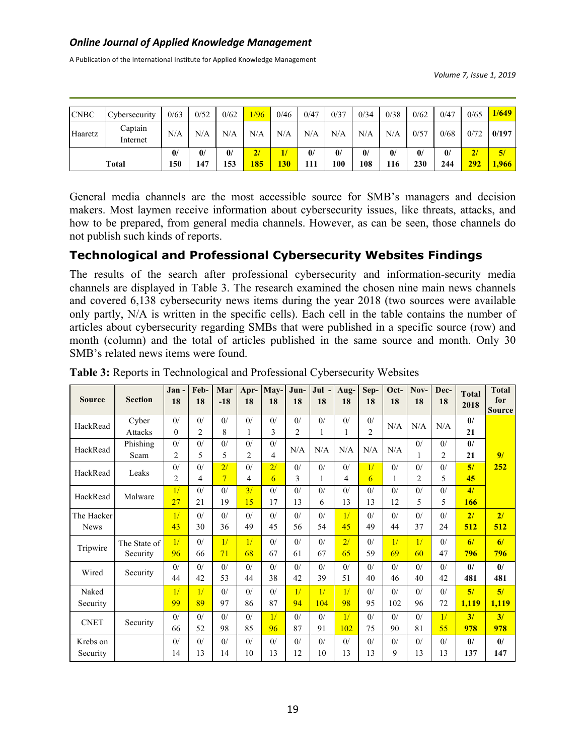A Publication of the International Institute for Applied Knowledge Management

*Volume 7, Issue 1, 2019*

| <b>CNBC</b>  | <b>Cybersecurity</b> | 0/63                | 0/52                | 0/62                | 1/96      | 0/46       | 0/47                | 0/37                | 0/34                | 0/38                | 0/62                | 0/47                | 0/65      | 1/649       |
|--------------|----------------------|---------------------|---------------------|---------------------|-----------|------------|---------------------|---------------------|---------------------|---------------------|---------------------|---------------------|-----------|-------------|
| Haaretz      | Captain<br>Internet  | N/A                 | N/A                 | N/A                 | N/A       | N/A        | N/A                 | N/A                 | N/A                 | N/A                 | 0/57                | 0/68                | 0/72      | 0/197       |
| <b>Total</b> |                      | $\mathbf{0}$<br>150 | $\mathbf{0}$<br>147 | $\mathbf{0}$<br>153 | 2/<br>185 | <b>130</b> | $\mathbf{0}$<br>111 | $\mathbf{0}$<br>100 | $\mathbf{0}$<br>108 | $\mathbf{0}$<br>116 | $\mathbf{0}$<br>230 | $\mathbf{0}$<br>244 | 2/<br>292 | 5/<br>1,966 |

General media channels are the most accessible source for SMB's managers and decision makers. Most laymen receive information about cybersecurity issues, like threats, attacks, and how to be prepared, from general media channels. However, as can be seen, those channels do not publish such kinds of reports.

## **Technological and Professional Cybersecurity Websites Findings**

The results of the search after professional cybersecurity and information-security media channels are displayed in Table 3. The research examined the chosen nine main news channels and covered 6,138 cybersecurity news items during the year 2018 (two sources were available only partly, N/A is written in the specific cells). Each cell in the table contains the number of articles about cybersecurity regarding SMBs that were published in a specific source (row) and month (column) and the total of articles published in the same source and month. Only 30 SMB's related news items were found.

| <b>Source</b>             | <b>Section</b>           | Jan-<br>18           | Feb-<br>18                      | Mar<br>$-18$         | Apr-<br>18 | May-<br>18          | Jun-<br>18           | Jul -<br>18         | Aug-<br>18          | Sep-<br>18           | Oct-<br>18 | Nov-<br>18           | Dec-<br>18          | <b>Total</b><br>2018 | <b>Total</b><br>for<br><b>Source</b> |
|---------------------------|--------------------------|----------------------|---------------------------------|----------------------|------------|---------------------|----------------------|---------------------|---------------------|----------------------|------------|----------------------|---------------------|----------------------|--------------------------------------|
| HackRead                  | Cyber<br><b>Attacks</b>  | 0/<br>$\theta$       | $\frac{0}{2}$<br>$\overline{2}$ | $\frac{0}{2}$<br>8   | 0/         | 0/<br>3             | 0/<br>$\overline{2}$ | 0/<br>1             | $\frac{0}{2}$<br>1  | 0/<br>$\overline{2}$ | N/A        | N/A                  | N/A                 | $\mathbf{0}$<br>21   |                                      |
| HackRead                  | Phishing<br>Scam         | 0/<br>2              | 0/<br>5                         | $\frac{0}{2}$<br>5   | 0/<br>2    | 0/<br>4             | N/A                  | N/A                 | N/A                 | N/A                  | N/A        | 0/<br>$\mathbf{1}$   | 0/<br>2             | $\mathbf{0}$<br>21   | 9/                                   |
| HackRead                  | Leaks                    | 0/<br>$\overline{c}$ | 0/<br>4                         | 2/<br>$\overline{7}$ | 0/<br>4    | 2/<br>6             | 0/<br>3              | 0/<br>1             | 0/<br>4             | 1/<br>6              | 0/<br>1    | 0/<br>$\overline{2}$ | $\frac{0}{2}$<br>5  | 5/<br>45             | 252                                  |
| HackRead                  | Malware                  | 1/<br>27             | 0/<br>21                        | $\frac{0}{2}$<br>19  | 3/<br>15   | 0/<br>17            | $\frac{0}{2}$<br>13  | $\frac{0}{2}$<br>6  | $\frac{0}{2}$<br>13 | 0/<br>13             | 0/<br>12   | $\frac{0}{2}$<br>5   | 0/<br>5             | 4/<br>166            |                                      |
| The Hacker<br><b>News</b> |                          | 1/<br>43             | $\frac{0}{2}$<br>30             | $\frac{0}{2}$<br>36  | 0/<br>49   | $\frac{0}{2}$<br>45 | 0/<br>56             | $\frac{0}{2}$<br>54 | 1/<br>45            | $\frac{0}{2}$<br>49  | 0/<br>44   | $\frac{0}{2}$<br>37  | $\frac{0}{2}$<br>24 | 21<br>512            | 21<br>512                            |
| Tripwire                  | The State of<br>Security | 1/<br>96             | 0/<br>66                        | 1/<br>71             | 1/<br>68   | 0/<br>67            | 0/<br>61             | 0/<br>67            | 2/<br>65            | 0/<br>59             | 1/<br>69   | 1/<br>60             | 0/<br>47            | 6/<br>796            | 6/<br>796                            |
| Wired                     | Security                 | 0/<br>44             | $\frac{0}{2}$<br>42             | $\frac{0}{2}$<br>53  | 0/<br>44   | 0/<br>38            | 0/<br>42             | 0/<br>39            | 0/<br>51            | 0/<br>40             | 0/<br>46   | $\frac{0}{2}$<br>40  | 0/<br>42            | $\mathbf{0}$<br>481  | $\mathbf{0}$<br>481                  |
| Naked<br>Security         |                          | 1/<br>99             | 1/<br>89                        | 0/<br>97             | 0/<br>86   | 0/<br>87            | 1/<br>94             | 1/<br>104           | 1/<br>98            | 0/<br>95             | 0/<br>102  | $\Omega$<br>96       | 0/<br>72            | 5/<br>1,119          | 5/<br>1,119                          |
| <b>CNET</b>               | Security                 | 0/<br>66             | 0/<br>52                        | $\frac{0}{2}$<br>98  | 0/<br>85   | 1/<br>96            | 0/<br>87             | 0/<br>91            | 1/<br>102           | 0/<br>75             | 0/<br>90   | $\Omega$<br>81       | 1/<br>55            | 3/<br>978            | 3/<br>978                            |
| Krebs on<br>Security      |                          | 0/<br>14             | 0/<br>13                        | 0/<br>14             | 0/<br>10   | 0/<br>13            | 0/<br>12             | 0/<br>10            | 0/<br>13            | 0/<br>13             | 0/<br>9    | 0/<br>13             | 0/<br>13            | $\mathbf{0}$<br>137  | $\mathbf{0}$<br>147                  |

**Table 3:** Reports in Technological and Professional Cybersecurity Websites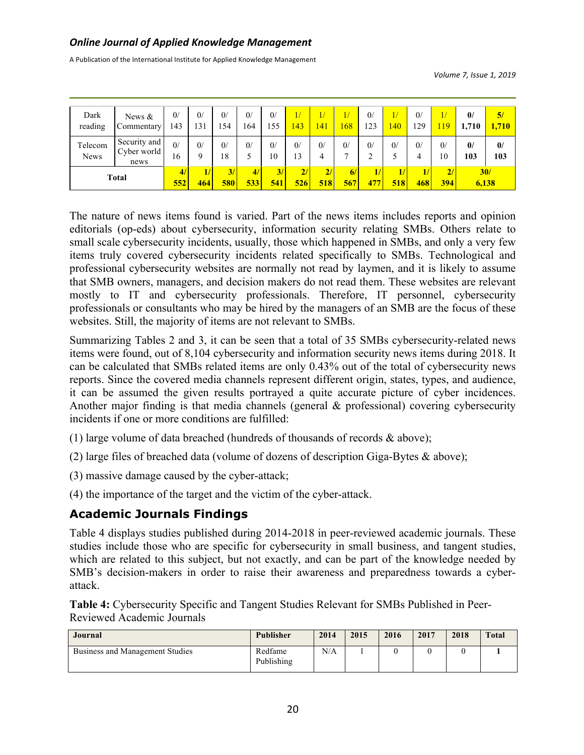A Publication of the International Institute for Applied Knowledge Management

*Volume 7, Issue 1, 2019*

| Dark<br>reading        | News $&$<br>Commentary              | 0/<br>143      | 0/<br>131          | 0/<br>.54     | $\frac{0}{2}$<br>164 | 0/<br>د د            | 1/<br><b>43</b> | $\overline{41}$ | 68                            | 0/<br>23     | 1/<br>$\overline{140}$ | $\mathbf{0}$<br>129 | 19                  | $\mathbf{0}$<br>1,710 | 5/<br>1,710         |
|------------------------|-------------------------------------|----------------|--------------------|---------------|----------------------|----------------------|-----------------|-----------------|-------------------------------|--------------|------------------------|---------------------|---------------------|-----------------------|---------------------|
| Telecom<br><b>News</b> | Security and<br>Cyber world<br>news | $\Omega$<br>16 | $\frac{0}{2}$<br>a | $_{0/}$<br>18 | 0/                   | $\overline{0}$<br>10 | 0/<br>13        | 0/<br>4         | $\frac{0}{2}$<br>$\mathbf{r}$ | 0/<br>∍<br>∠ | 0/                     | 0/<br>4             | $\frac{0}{2}$<br>10 | $\mathbf{0}$<br>103   | $\mathbf{0}$<br>103 |
| <b>Total</b>           |                                     | 4/<br>552      | 464                | 3/<br>580     | 4/<br>533            | 3/<br>541            | 2/<br>526       | 2/<br>518       | 6/<br>567                     | 47           | 1/<br>518              | 1/<br>468           | 2/<br>394           | 30/<br>6,138          |                     |

The nature of news items found is varied. Part of the news items includes reports and opinion editorials (op-eds) about cybersecurity, information security relating SMBs. Others relate to small scale cybersecurity incidents, usually, those which happened in SMBs, and only a very few items truly covered cybersecurity incidents related specifically to SMBs. Technological and professional cybersecurity websites are normally not read by laymen, and it is likely to assume that SMB owners, managers, and decision makers do not read them. These websites are relevant mostly to IT and cybersecurity professionals. Therefore, IT personnel, cybersecurity professionals or consultants who may be hired by the managers of an SMB are the focus of these websites. Still, the majority of items are not relevant to SMBs.

Summarizing Tables 2 and 3, it can be seen that a total of 35 SMBs cybersecurity-related news items were found, out of 8,104 cybersecurity and information security news items during 2018. It can be calculated that SMBs related items are only 0.43% out of the total of cybersecurity news reports. Since the covered media channels represent different origin, states, types, and audience, it can be assumed the given results portrayed a quite accurate picture of cyber incidences. Another major finding is that media channels (general & professional) covering cybersecurity incidents if one or more conditions are fulfilled:

- (1) large volume of data breached (hundreds of thousands of records & above);
- (2) large files of breached data (volume of dozens of description Giga-Bytes & above);
- (3) massive damage caused by the cyber-attack;
- (4) the importance of the target and the victim of the cyber-attack.

## **Academic Journals Findings**

Table 4 displays studies published during 2014-2018 in peer-reviewed academic journals. These studies include those who are specific for cybersecurity in small business, and tangent studies, which are related to this subject, but not exactly, and can be part of the knowledge needed by SMB's decision-makers in order to raise their awareness and preparedness towards a cyberattack.

**Table 4:** Cybersecurity Specific and Tangent Studies Relevant for SMBs Published in Peer-Reviewed Academic Journals

| Journal                         | <b>Publisher</b>      | 2014 | 2015 | 2016 | 2017 | 2018 | <b>Total</b> |
|---------------------------------|-----------------------|------|------|------|------|------|--------------|
| Business and Management Studies | Redfame<br>Publishing | N/A  |      |      |      |      |              |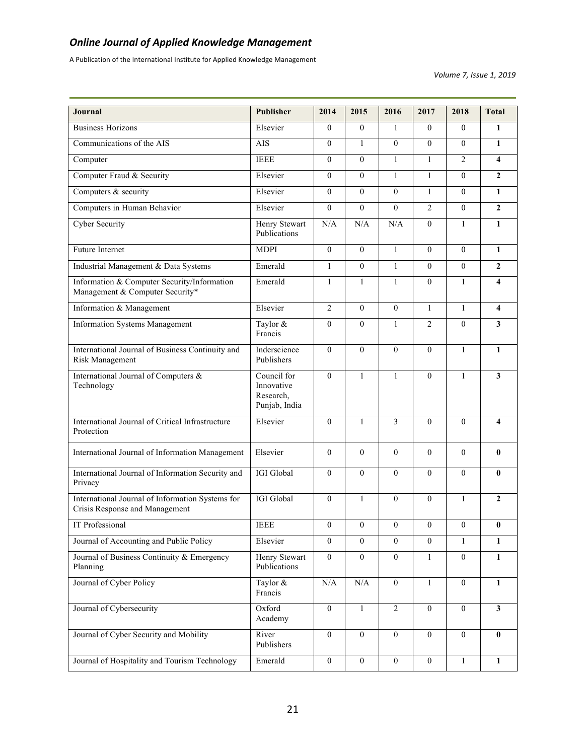A Publication of the International Institute for Applied Knowledge Management

*Volume 7, Issue 1, 2019*

| Journal                                                                            | <b>Publisher</b>                                        | 2014             | 2015             | 2016             | 2017             | 2018             | <b>Total</b>            |
|------------------------------------------------------------------------------------|---------------------------------------------------------|------------------|------------------|------------------|------------------|------------------|-------------------------|
| <b>Business Horizons</b>                                                           | Elsevier                                                | $\theta$         | $\theta$         | $\mathbf{1}$     | $\Omega$         | $\Omega$         | $\mathbf{1}$            |
| Communications of the AIS                                                          | <b>AIS</b>                                              | $\Omega$         | $\mathbf{1}$     | $\mathbf{0}$     | $\overline{0}$   | $\theta$         | $\mathbf{1}$            |
| Computer                                                                           | <b>IEEE</b>                                             | $\overline{0}$   | $\theta$         | $\mathbf{1}$     | $\mathbf{1}$     | $\overline{2}$   | $\overline{\mathbf{4}}$ |
| Computer Fraud & Security                                                          | Elsevier                                                | $\overline{0}$   | $\theta$         | $\mathbf{1}$     | $\mathbf{1}$     | $\theta$         | $\overline{2}$          |
| Computers & security                                                               | Elsevier                                                | $\Omega$         | $\theta$         | $\overline{0}$   | $\mathbf{1}$     | $\theta$         | $\mathbf{1}$            |
| Computers in Human Behavior                                                        | Elsevier                                                | $\theta$         | $\theta$         | $\theta$         | $\overline{2}$   | $\theta$         | $\overline{2}$          |
| <b>Cyber Security</b>                                                              | Henry Stewart<br>Publications                           | N/A              | N/A              | N/A              | $\boldsymbol{0}$ | $\mathbf{1}$     | $\mathbf{1}$            |
| <b>Future Internet</b>                                                             | <b>MDPI</b>                                             | $\overline{0}$   | $\mathbf{0}$     | $\mathbf{1}$     | $\overline{0}$   | $\theta$         | $\mathbf{1}$            |
| Industrial Management & Data Systems                                               | Emerald                                                 | $\mathbf{1}$     | $\theta$         | $\mathbf{1}$     | $\Omega$         | $\theta$         | $\overline{2}$          |
| Information & Computer Security/Information<br>Management & Computer Security*     | Emerald                                                 | $\mathbf{1}$     | $\mathbf{1}$     | $\mathbf{1}$     | $\Omega$         | $\mathbf{1}$     | $\overline{\mathbf{4}}$ |
| Information & Management                                                           | Elsevier                                                | $\overline{c}$   | $\theta$         | $\overline{0}$   | $\mathbf{1}$     | $\mathbf{1}$     | $\overline{\mathbf{4}}$ |
| <b>Information Systems Management</b>                                              | Taylor &<br>Francis                                     | $\mathbf{0}$     | $\Omega$         | $\mathbf{1}$     | $\overline{2}$   | $\theta$         | $\overline{\mathbf{3}}$ |
| International Journal of Business Continuity and<br>Risk Management                | Inderscience<br>Publishers                              | $\theta$         | $\theta$         | $\mathbf{0}$     | $\theta$         | $\mathbf{1}$     | $\mathbf{1}$            |
| International Journal of Computers &<br>Technology                                 | Council for<br>Innovative<br>Research,<br>Punjab, India | $\mathbf{0}$     | $\mathbf{1}$     | $\mathbf{1}$     | $\boldsymbol{0}$ | $\mathbf{1}$     | $\overline{\mathbf{3}}$ |
| International Journal of Critical Infrastructure<br>Protection                     | Elsevier                                                | $\mathbf{0}$     | 1                | 3                | $\theta$         | $\theta$         | 4                       |
| International Journal of Information Management                                    | Elsevier                                                | $\mathbf{0}$     | $\mathbf{0}$     | $\mathbf{0}$     | $\Omega$         | $\theta$         | $\bf{0}$                |
| International Journal of Information Security and<br>Privacy                       | IGI Global                                              | $\mathbf{0}$     | $\Omega$         | $\mathbf{0}$     | $\theta$         | $\theta$         | $\bf{0}$                |
| International Journal of Information Systems for<br>Crisis Response and Management | IGI Global                                              | $\theta$         | $\mathbf{1}$     | $\boldsymbol{0}$ | $\boldsymbol{0}$ | $\mathbf{1}$     | $\overline{2}$          |
| IT Professional                                                                    | <b>IEEE</b>                                             | $\boldsymbol{0}$ | $\boldsymbol{0}$ | 0                | $\boldsymbol{0}$ | $\boldsymbol{0}$ | $\boldsymbol{0}$        |
| Journal of Accounting and Public Policy                                            | Elsevier                                                | $\overline{0}$   | $\boldsymbol{0}$ | $\mathbf{0}$     | $\boldsymbol{0}$ | $\mathbf{1}$     | $\mathbf{1}$            |
| Journal of Business Continuity & Emergency<br>Planning                             | Henry Stewart<br>Publications                           | $\mathbf{0}$     | $\boldsymbol{0}$ | $\mathbf{0}$     | 1                | $\boldsymbol{0}$ | 1                       |
| Journal of Cyber Policy                                                            | Taylor &<br>Francis                                     | $\rm N/A$        | $\rm N/A$        | $\boldsymbol{0}$ | $\mathbf{1}$     | $\boldsymbol{0}$ | $\mathbf{1}$            |
| Journal of Cybersecurity                                                           | Oxford<br>Academy                                       | $\mathbf{0}$     | $\mathbf{1}$     | $\overline{2}$   | $\overline{0}$   | $\boldsymbol{0}$ | $\overline{\mathbf{3}}$ |
| Journal of Cyber Security and Mobility                                             | River<br>Publishers                                     | $\mathbf{0}$     | $\boldsymbol{0}$ | $\mathbf{0}$     | $\boldsymbol{0}$ | $\boldsymbol{0}$ | $\bf{0}$                |
| Journal of Hospitality and Tourism Technology                                      | Emerald                                                 | $\boldsymbol{0}$ | $\boldsymbol{0}$ | $\boldsymbol{0}$ | $\boldsymbol{0}$ | $\mathbf{1}$     | 1                       |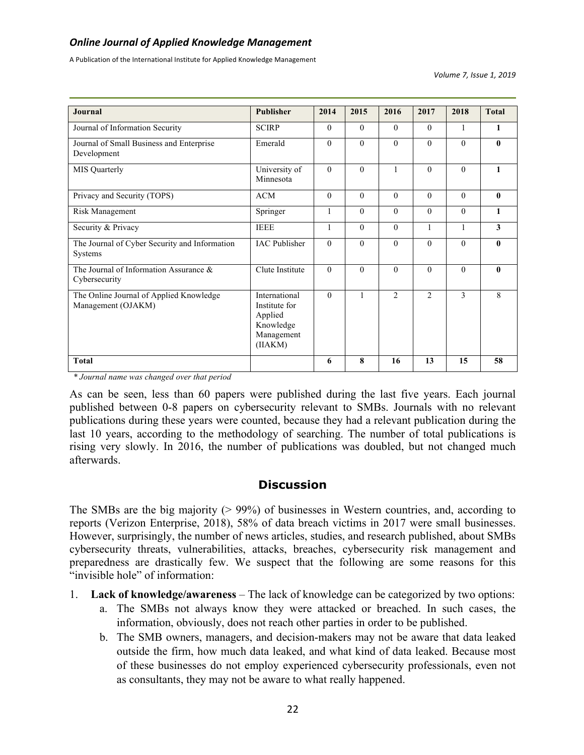A Publication of the International Institute for Applied Knowledge Management

*Volume 7, Issue 1, 2019*

| Journal                                                       | <b>Publisher</b>                                                                | 2014         | 2015     | 2016           | 2017           | 2018         | <b>Total</b> |
|---------------------------------------------------------------|---------------------------------------------------------------------------------|--------------|----------|----------------|----------------|--------------|--------------|
| Journal of Information Security                               | <b>SCIRP</b>                                                                    | $\theta$     | $\theta$ | $\theta$       | $\theta$       | $\mathbf{1}$ | 1            |
| Journal of Small Business and Enterprise<br>Development       | Emerald                                                                         | $\theta$     | $\Omega$ | $\theta$       | $\theta$       | $\theta$     | $\mathbf{0}$ |
| <b>MIS</b> Quarterly                                          | University of<br>Minnesota                                                      | $\Omega$     | $\Omega$ | $\mathbf{1}$   | $\theta$       | $\theta$     | 1            |
| Privacy and Security (TOPS)                                   | <b>ACM</b>                                                                      | $\theta$     | $\Omega$ | $\theta$       | $\theta$       | $\theta$     | $\mathbf{0}$ |
| Risk Management                                               | Springer                                                                        | $\mathbf{1}$ | $\Omega$ | $\Omega$       | $\theta$       | $\theta$     | $\mathbf{1}$ |
| Security & Privacy                                            | <b>IEEE</b>                                                                     | $\mathbf{1}$ | $\theta$ | $\theta$       | 1              | $\mathbf{1}$ | 3            |
| The Journal of Cyber Security and Information<br>Systems      | <b>IAC</b> Publisher                                                            | $\theta$     | $\theta$ | $\theta$       | $\theta$       | $\theta$     | $\mathbf{0}$ |
| The Journal of Information Assurance &<br>Cybersecurity       | Clute Institute                                                                 | $\theta$     | $\Omega$ | $\theta$       | $\Omega$       | $\Omega$     | $\mathbf{0}$ |
| The Online Journal of Applied Knowledge<br>Management (OJAKM) | International<br>Institute for<br>Applied<br>Knowledge<br>Management<br>(IIAKM) | $\Omega$     | 1        | $\overline{2}$ | $\overline{2}$ | 3            | 8            |
| <b>Total</b>                                                  |                                                                                 | 6            | 8        | 16             | 13             | 15           | 58           |

*\* Journal name was changed over that period*

As can be seen, less than 60 papers were published during the last five years. Each journal published between 0-8 papers on cybersecurity relevant to SMBs. Journals with no relevant publications during these years were counted, because they had a relevant publication during the last 10 years, according to the methodology of searching. The number of total publications is rising very slowly. In 2016, the number of publications was doubled, but not changed much afterwards.

#### **Discussion**

The SMBs are the big majority (> 99%) of businesses in Western countries, and, according to reports (Verizon Enterprise, 2018), 58% of data breach victims in 2017 were small businesses. However, surprisingly, the number of news articles, studies, and research published, about SMBs cybersecurity threats, vulnerabilities, attacks, breaches, cybersecurity risk management and preparedness are drastically few. We suspect that the following are some reasons for this "invisible hole" of information:

- 1. **Lack of knowledge/awareness**  The lack of knowledge can be categorized by two options:
	- a. The SMBs not always know they were attacked or breached. In such cases, the information, obviously, does not reach other parties in order to be published.
	- b. The SMB owners, managers, and decision-makers may not be aware that data leaked outside the firm, how much data leaked, and what kind of data leaked. Because most of these businesses do not employ experienced cybersecurity professionals, even not as consultants, they may not be aware to what really happened.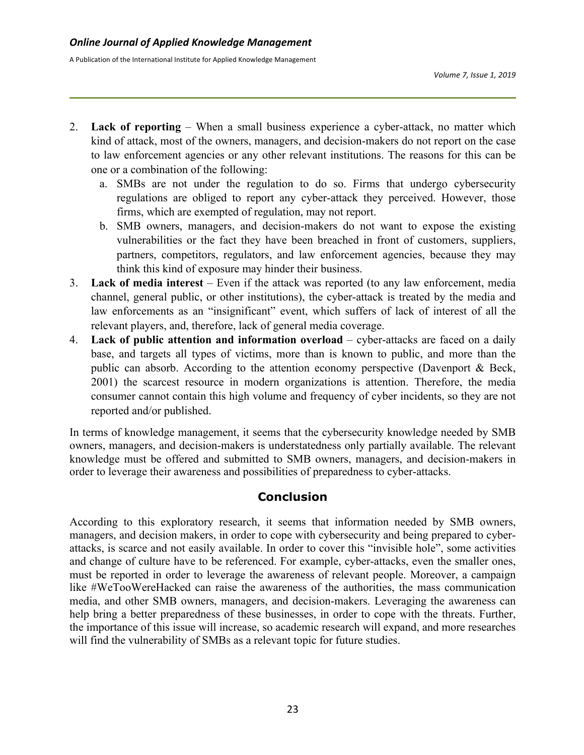- 2. **Lack of reporting** When a small business experience a cyber-attack, no matter which kind of attack, most of the owners, managers, and decision-makers do not report on the case to law enforcement agencies or any other relevant institutions. The reasons for this can be one or a combination of the following:
	- a. SMBs are not under the regulation to do so. Firms that undergo cybersecurity regulations are obliged to report any cyber-attack they perceived. However, those firms, which are exempted of regulation, may not report.
	- b. SMB owners, managers, and decision-makers do not want to expose the existing vulnerabilities or the fact they have been breached in front of customers, suppliers, partners, competitors, regulators, and law enforcement agencies, because they may think this kind of exposure may hinder their business.
- 3. **Lack of media interest**  Even if the attack was reported (to any law enforcement, media channel, general public, or other institutions), the cyber-attack is treated by the media and law enforcements as an "insignificant" event, which suffers of lack of interest of all the relevant players, and, therefore, lack of general media coverage.
- 4. **Lack of public attention and information overload** cyber-attacks are faced on a daily base, and targets all types of victims, more than is known to public, and more than the public can absorb. According to the attention economy perspective (Davenport & Beck, 2001) the scarcest resource in modern organizations is attention. Therefore, the media consumer cannot contain this high volume and frequency of cyber incidents, so they are not reported and/or published.

In terms of knowledge management, it seems that the cybersecurity knowledge needed by SMB owners, managers, and decision-makers is understatedness only partially available. The relevant knowledge must be offered and submitted to SMB owners, managers, and decision-makers in order to leverage their awareness and possibilities of preparedness to cyber-attacks.

## **Conclusion**

According to this exploratory research, it seems that information needed by SMB owners, managers, and decision makers, in order to cope with cybersecurity and being prepared to cyberattacks, is scarce and not easily available. In order to cover this "invisible hole", some activities and change of culture have to be referenced. For example, cyber-attacks, even the smaller ones, must be reported in order to leverage the awareness of relevant people. Moreover, a campaign like #WeTooWereHacked can raise the awareness of the authorities, the mass communication media, and other SMB owners, managers, and decision-makers. Leveraging the awareness can help bring a better preparedness of these businesses, in order to cope with the threats. Further, the importance of this issue will increase, so academic research will expand, and more researches will find the vulnerability of SMBs as a relevant topic for future studies.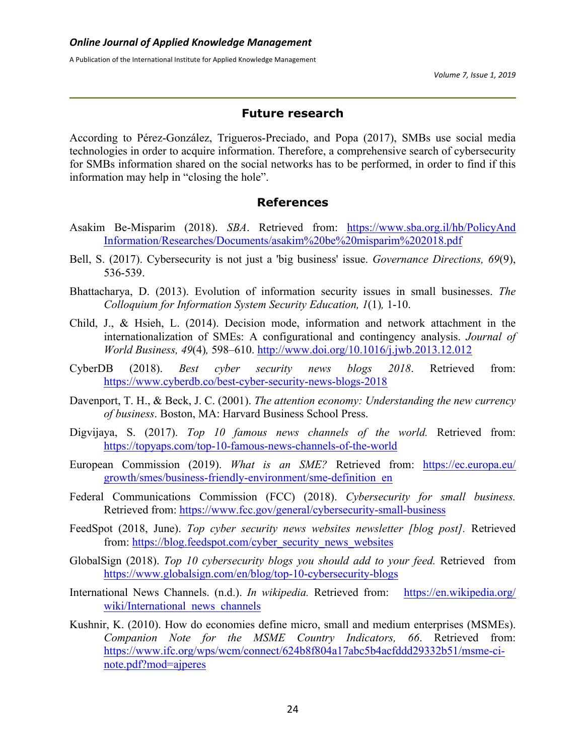#### **Future research**

According to Pérez-González, Trigueros-Preciado, and Popa (2017), SMBs use social media technologies in order to acquire information. Therefore, a comprehensive search of cybersecurity for SMBs information shared on the social networks has to be performed, in order to find if this information may help in "closing the hole".

#### **References**

- Asakim Be-Misparim (2018). *SBA*. Retrieved from: https://www.sba.org.il/hb/PolicyAnd Information/Researches/Documents/asakim%20be%20misparim%202018.pdf
- Bell, S. (2017). Cybersecurity is not just a 'big business' issue. *Governance Directions, 69*(9), 536-539.
- Bhattacharya, D. (2013). Evolution of information security issues in small businesses. *The Colloquium for Information System Security Education, 1*(1)*,* 1-10.
- Child, J., & Hsieh, L. (2014). Decision mode, information and network attachment in the internationalization of SMEs: A configurational and contingency analysis. *Journal of World Business, 49*(4)*,* 598–610. http://www.doi.org/10.1016/j.jwb.2013.12.012
- CyberDB (2018). *Best cyber security news blogs 2018*. Retrieved from: https://www.cyberdb.co/best-cyber-security-news-blogs-2018
- Davenport, T. H., & Beck, J. C. (2001). *The attention economy: Understanding the new currency of business*. Boston, MA: Harvard Business School Press.
- Digvijaya, S. (2017). *Top 10 famous news channels of the world.* Retrieved from: https://topyaps.com/top-10-famous-news-channels-of-the-world
- European Commission (2019). *What is an SME?* Retrieved from: https://ec.europa.eu/ growth/smes/business-friendly-environment/sme-definition\_en
- Federal Communications Commission (FCC) (2018). *Cybersecurity for small business.* Retrieved from: https://www.fcc.gov/general/cybersecurity-small-business
- FeedSpot (2018, June). *Top cyber security news websites newsletter [blog post].* Retrieved from: https://blog.feedspot.com/cyber\_security\_news\_websites
- GlobalSign (2018). *Top 10 cybersecurity blogs you should add to your feed.* Retrieved from https://www.globalsign.com/en/blog/top-10-cybersecurity-blogs
- International News Channels. (n.d.). *In wikipedia.* Retrieved from: https://en.wikipedia.org/ wiki/International\_news\_channels
- Kushnir, K. (2010). How do economies define micro, small and medium enterprises (MSMEs). *Companion Note for the MSME Country Indicators, 66*. Retrieved from: https://www.ifc.org/wps/wcm/connect/624b8f804a17abc5b4acfddd29332b51/msme-cinote.pdf?mod=ajperes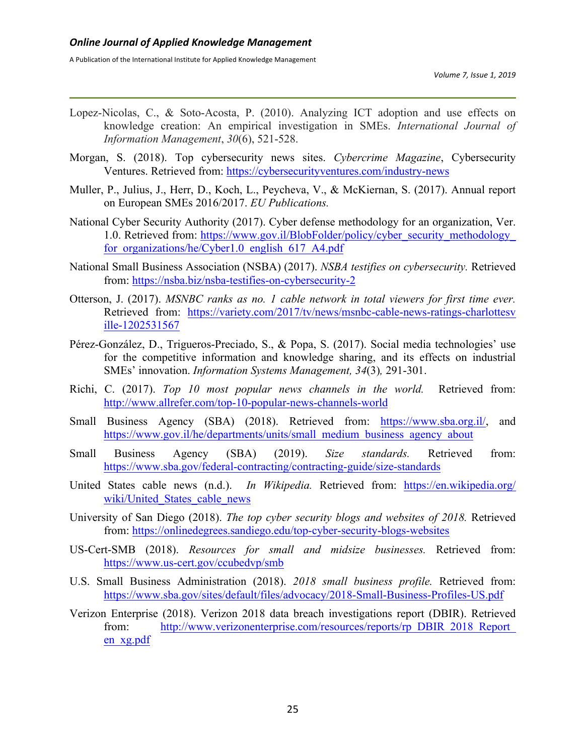- Lopez-Nicolas, C., & Soto-Acosta, P. (2010). Analyzing ICT adoption and use effects on knowledge creation: An empirical investigation in SMEs. *International Journal of Information Management*, *30*(6), 521-528.
- Morgan, S. (2018). Top cybersecurity news sites. *Cybercrime Magazine*, Cybersecurity Ventures. Retrieved from: https://cybersecurityventures.com/industry-news
- Muller, P., Julius, J., Herr, D., Koch, L., Peycheva, V., & McKiernan, S. (2017). Annual report on European SMEs 2016/2017. *EU Publications.*
- National Cyber Security Authority (2017). Cyber defense methodology for an organization, Ver. 1.0. Retrieved from: https://www.gov.il/BlobFolder/policy/cyber\_security\_methodology\_ for organizations/he/Cyber1.0\_english\_617\_A4.pdf
- National Small Business Association (NSBA) (2017). *NSBA testifies on cybersecurity.* Retrieved from: https://nsba.biz/nsba-testifies-on-cybersecurity-2
- Otterson, J. (2017). *MSNBC ranks as no. 1 cable network in total viewers for first time ever.*  Retrieved from: https://variety.com/2017/tv/news/msnbc-cable-news-ratings-charlottesv ille-1202531567
- Pérez-González, D., Trigueros-Preciado, S., & Popa, S. (2017). Social media technologies' use for the competitive information and knowledge sharing, and its effects on industrial SMEs' innovation. *Information Systems Management, 34*(3)*,* 291-301.
- Richi, C. (2017). *Top 10 most popular news channels in the world.* Retrieved from: http://www.allrefer.com/top-10-popular-news-channels-world
- Small Business Agency (SBA) (2018). Retrieved from: https://www.sba.org.il/, and https://www.gov.il/he/departments/units/small\_medium\_business\_agency\_about
- Small Business Agency (SBA) (2019). *Size standards.* Retrieved from: https://www.sba.gov/federal-contracting/contracting-guide/size-standards
- United States cable news (n.d.). *In Wikipedia.* Retrieved from: https://en.wikipedia.org/ wiki/United States cable news
- University of San Diego (2018). *The top cyber security blogs and websites of 2018.* Retrieved from: https://onlinedegrees.sandiego.edu/top-cyber-security-blogs-websites
- US-Cert-SMB (2018). *Resources for small and midsize businesses.* Retrieved from: https://www.us-cert.gov/ccubedvp/smb
- U.S. Small Business Administration (2018). *2018 small business profile.* Retrieved from: https://www.sba.gov/sites/default/files/advocacy/2018-Small-Business-Profiles-US.pdf
- Verizon Enterprise (2018). Verizon 2018 data breach investigations report (DBIR). Retrieved from: http://www.verizonenterprise.com/resources/reports/rp\_DBIR\_2018\_Report\_ en\_xg.pdf